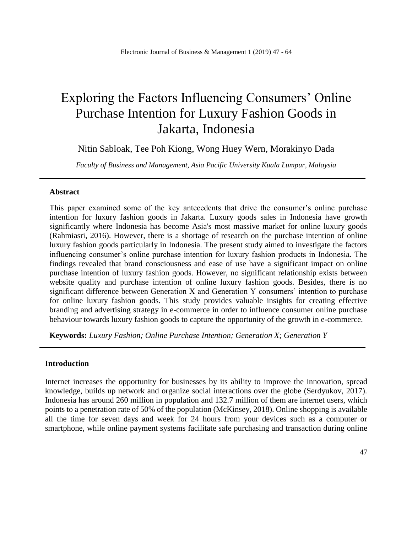# Exploring the Factors Influencing Consumers' Online Purchase Intention for Luxury Fashion Goods in Jakarta, Indonesia

Nitin Sabloak, Tee Poh Kiong, Wong Huey Wern, Morakinyo Dada

*Faculty of Business and Management, Asia Pacific University Kuala Lumpur, Malaysia*

## **Abstract**

This paper examined some of the key antecedents that drive the consumer's online purchase intention for luxury fashion goods in Jakarta. Luxury goods sales in Indonesia have growth significantly where Indonesia has become Asia's most massive market for online luxury goods (Rahmiasri, 2016). However, there is a shortage of research on the purchase intention of online luxury fashion goods particularly in Indonesia. The present study aimed to investigate the factors influencing consumer's online purchase intention for luxury fashion products in Indonesia. The findings revealed that brand consciousness and ease of use have a significant impact on online purchase intention of luxury fashion goods. However, no significant relationship exists between website quality and purchase intention of online luxury fashion goods. Besides, there is no significant difference between Generation X and Generation Y consumers' intention to purchase for online luxury fashion goods. This study provides valuable insights for creating effective branding and advertising strategy in e-commerce in order to influence consumer online purchase behaviour towards luxury fashion goods to capture the opportunity of the growth in e-commerce.

**Keywords:** *Luxury Fashion; Online Purchase Intention; Generation X; Generation Y*

## **Introduction**

Internet increases the opportunity for businesses by its ability to improve the innovation, spread knowledge, builds up network and organize social interactions over the globe (Serdyukov, 2017). Indonesia has around 260 million in population and 132.7 million of them are internet users, which points to a penetration rate of 50% of the population (McKinsey, 2018). Online shopping is available all the time for seven days and week for 24 hours from your devices such as a computer or smartphone, while online payment systems facilitate safe purchasing and transaction during online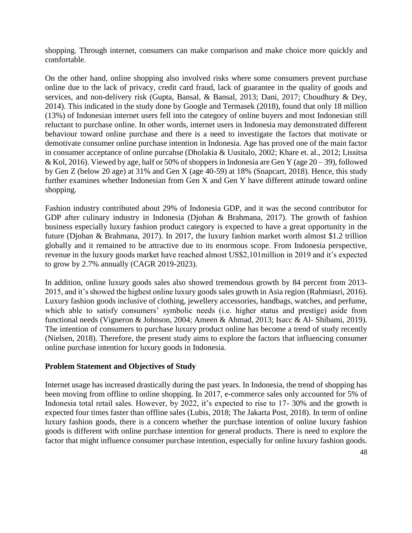shopping. Through internet, consumers can make comparison and make choice more quickly and comfortable.

On the other hand, online shopping also involved risks where some consumers prevent purchase online due to the lack of privacy, credit card fraud, lack of guarantee in the quality of goods and services, and non-delivery risk (Gupta, Bansal, & Bansal, 2013; Dani, 2017; Choudhury & Dey, 2014). This indicated in the study done by Google and Termasek (2018), found that only 18 million (13%) of Indonesian internet users fell into the category of online buyers and most Indonesian still reluctant to purchase online. In other words, internet users in Indonesia may demonstrated different behaviour toward online purchase and there is a need to investigate the factors that motivate or demotivate consumer online purchase intention in Indonesia. Age has proved one of the main factor in consumer acceptance of online purcahse (Dholakia & Uusitalo, 2002; Khare et. al., 2012; Lissitsa & Kol, 2016). Viewed by age, half or 50% of shoppers in Indonesia are Gen Y (age  $20-39$ ), followed by Gen Z (below 20 age) at 31% and Gen X (age 40-59) at 18% (Snapcart, 2018). Hence, this study further examines whether Indonesian from Gen X and Gen Y have different attitude toward online shopping.

Fashion industry contributed about 29% of Indonesia GDP, and it was the second contributor for GDP after culinary industry in Indonesia (Djohan & Brahmana, 2017). The growth of fashion business especially luxury fashion product category is expected to have a great opportunity in the future (Djohan & Brahmana, 2017). In 2017, the luxury fashion market worth almost \$1.2 trillion globally and it remained to be attractive due to its enormous scope. From Indonesia perspective, revenue in the luxury goods market have reached almost US\$2,101million in 2019 and it's expected to grow by 2.7% annually (CAGR 2019-2023).

In addition, online luxury goods sales also showed tremendous growth by 84 percent from 2013- 2015, and it's showed the highest online luxury goods sales growth in Asia region (Rahmiasri, 2016). Luxury fashion goods inclusive of clothing, jewellery accessories, handbags, watches, and perfume, which able to satisfy consumers' symbolic needs (i.e. higher status and prestige) aside from functional needs (Vigneron & Johnson, 2004; Ameen & Ahmad, 2013; Isacc & Al- Shibami, 2019). The intention of consumers to purchase luxury product online has become a trend of study recently (Nielsen, 2018). Therefore, the present study aims to explore the factors that influencing consumer online purchase intention for luxury goods in Indonesia.

## **Problem Statement and Objectives of Study**

Internet usage has increased drastically during the past years. In Indonesia, the trend of shopping has been moving from offline to online shopping. In 2017, e-commerce sales only accounted for 5% of Indonesia total retail sales. However, by 2022, it's expected to rise to 17- 30% and the growth is expected four times faster than offline sales (Lubis, 2018; The Jakarta Post, 2018). In term of online luxury fashion goods, there is a concern whether the purchase intention of online luxury fashion goods is different with online purchase intention for general products. There is need to explore the factor that might influence consumer purchase intention, especially for online luxury fashion goods.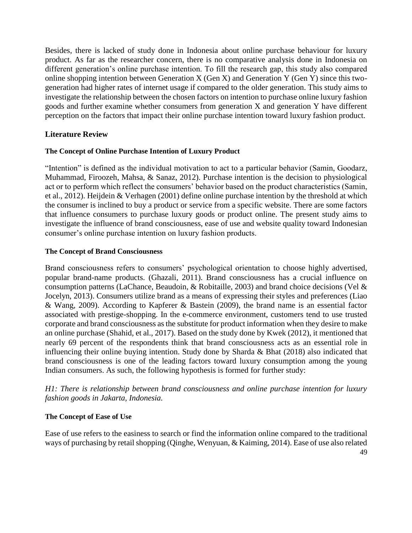Besides, there is lacked of study done in Indonesia about online purchase behaviour for luxury product. As far as the researcher concern, there is no comparative analysis done in Indonesia on different generation's online purchase intention. To fill the research gap, this study also compared online shopping intention between Generation X (Gen X) and Generation Y (Gen Y) since this twogeneration had higher rates of internet usage if compared to the older generation. This study aims to investigate the relationship between the chosen factors on intention to purchase online luxury fashion goods and further examine whether consumers from generation X and generation Y have different perception on the factors that impact their online purchase intention toward luxury fashion product.

# **Literature Review**

#### **The Concept of Online Purchase Intention of Luxury Product**

"Intention" is defined as the individual motivation to act to a particular behavior (Samin, Goodarz, Muhammad, Firoozeh, Mahsa, & Sanaz, 2012). Purchase intention is the decision to physiological act or to perform which reflect the consumers' behavior based on the product characteristics (Samin, et al., 2012). Heijdein & Verhagen (2001) define online purchase intention by the threshold at which the consumer is inclined to buy a product or service from a specific website. There are some factors that influence consumers to purchase luxury goods or product online. The present study aims to investigate the influence of brand consciousness, ease of use and website quality toward Indonesian consumer's online purchase intention on luxury fashion products.

#### **The Concept of Brand Consciousness**

Brand consciousness refers to consumers' psychological orientation to choose highly advertised, popular brand-name products. (Ghazali, 2011). Brand consciousness has a crucial influence on consumption patterns (LaChance, Beaudoin,  $\&$  Robitaille, 2003) and brand choice decisions (Vel  $\&$ Jocelyn, 2013). Consumers utilize brand as a means of expressing their styles and preferences (Liao & Wang, 2009). According to Kapferer & Bastein (2009), the brand name is an essential factor associated with prestige-shopping. In the e-commerce environment, customers tend to use trusted corporate and brand consciousness as the substitute for product information when they desire to make an online purchase (Shahid, et al., 2017). Based on the study done by Kwek (2012), it mentioned that nearly 69 percent of the respondents think that brand consciousness acts as an essential role in influencing their online buying intention. Study done by Sharda & Bhat (2018) also indicated that brand consciousness is one of the leading factors toward luxury consumption among the young Indian consumers. As such, the following hypothesis is formed for further study:

*H1: There is relationship between brand consciousness and online purchase intention for luxury fashion goods in Jakarta, Indonesia.*

## **The Concept of Ease of Use**

Ease of use refers to the easiness to search or find the information online compared to the traditional ways of purchasing by retail shopping (Qinghe, Wenyuan, & Kaiming, 2014). Ease of use also related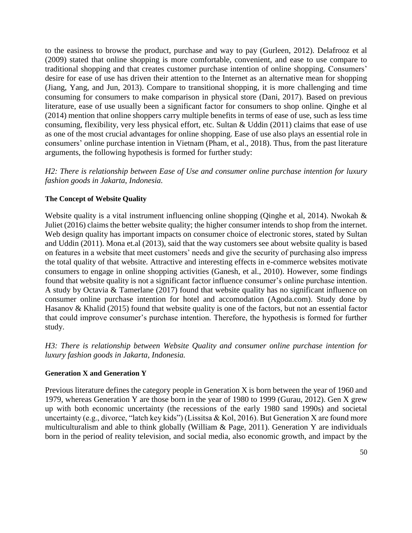to the easiness to browse the product, purchase and way to pay (Gurleen, 2012). Delafrooz et al (2009) stated that online shopping is more comfortable, convenient, and ease to use compare to traditional shopping and that creates customer purchase intention of online shopping. Consumers' desire for ease of use has driven their attention to the Internet as an alternative mean for shopping (Jiang, Yang, and Jun, 2013). Compare to transitional shopping, it is more challenging and time consuming for consumers to make comparison in physical store (Dani, 2017). Based on previous literature, ease of use usually been a significant factor for consumers to shop online. Qinghe et al (2014) mention that online shoppers carry multiple benefits in terms of ease of use, such as less time consuming, flexibility, very less physical effort, etc. Sultan & Uddin (2011) claims that ease of use as one of the most crucial advantages for online shopping. Ease of use also plays an essential role in consumers' online purchase intention in Vietnam (Pham, et al., 2018). Thus, from the past literature arguments, the following hypothesis is formed for further study:

*H2: There is relationship between Ease of Use and consumer online purchase intention for luxury fashion goods in Jakarta, Indonesia.*

#### **The Concept of Website Quality**

Website quality is a vital instrument influencing online shopping (Qinghe et al, 2014). Nwokah & Juliet (2016) claims the better website quality; the higher consumer intends to shop from the internet. Web design quality has important impacts on consumer choice of electronic stores, stated by Sultan and Uddin (2011). Mona et.al (2013), said that the way customers see about website quality is based on features in a website that meet customers' needs and give the security of purchasing also impress the total quality of that website. Attractive and interesting effects in e-commerce websites motivate consumers to engage in online shopping activities (Ganesh, et al., 2010). However, some findings found that website quality is not a significant factor influence consumer's online purchase intention. A study by Octavia & Tamerlane (2017) found that website quality has no significant influence on consumer online purchase intention for hotel and accomodation (Agoda.com). Study done by Hasanov & Khalid (2015) found that website quality is one of the factors, but not an essential factor that could improve consumer's purchase intention. Therefore, the hypothesis is formed for further study.

*H3: There is relationship between Website Quality and consumer online purchase intention for luxury fashion goods in Jakarta, Indonesia.*

#### **Generation X and Generation Y**

Previous literature defines the category people in Generation X is born between the year of 1960 and 1979, whereas Generation Y are those born in the year of 1980 to 1999 (Gurau, 2012). Gen X grew up with both economic uncertainty (the recessions of the early 1980 sand 1990s) and societal uncertainty (e.g., divorce, "latch key kids") (Lissitsa & Kol, 2016). But Generation X are found more multiculturalism and able to think globally (William & Page, 2011). Generation Y are individuals born in the period of reality television, and social media, also economic growth, and impact by the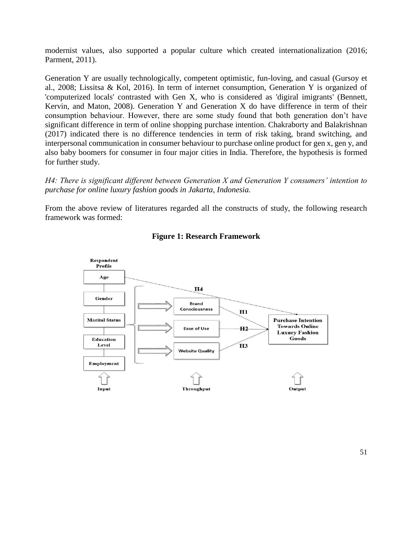modernist values, also supported a popular culture which created internationalization (2016; Parment, 2011).

Generation Y are usually technologically, competent optimistic, fun-loving, and casual (Gursoy et al., 2008; Lissitsa & Kol, 2016). In term of internet consumption, Generation Y is organized of 'computerized locals' contrasted with Gen X, who is considered as 'digiral imigrants' (Bennett, Kervin, and Maton, 2008). Generation Y and Generation X do have difference in term of their consumption behaviour. However, there are some study found that both generation don't have significant difference in term of online shopping purchase intention. Chakraborty and Balakrishnan (2017) indicated there is no difference tendencies in term of risk taking, brand switching, and interpersonal communication in consumer behaviour to purchase online product for gen x, gen y, and also baby boomers for consumer in four major cities in India. Therefore, the hypothesis is formed for further study.

*H4: There is significant different between Generation X and Generation Y consumers' intention to purchase for online luxury fashion goods in Jakarta, Indonesia.*

From the above review of literatures regarded all the constructs of study, the following research framework was formed:



#### **Figure 1: Research Framework**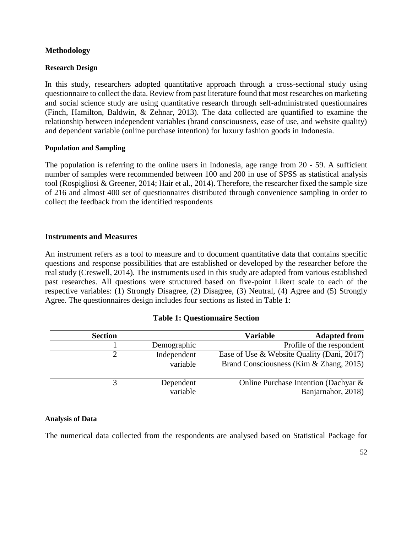# **Methodology**

#### **Research Design**

In this study, researchers adopted quantitative approach through a cross-sectional study using questionnaire to collect the data. Review from past literature found that most researches on marketing and social science study are using quantitative research through self-administrated questionnaires (Finch, Hamilton, Baldwin, & Zehnar, 2013). The data collected are quantified to examine the relationship between independent variables (brand consciousness, ease of use, and website quality) and dependent variable (online purchase intention) for luxury fashion goods in Indonesia.

#### **Population and Sampling**

The population is referring to the online users in Indonesia, age range from 20 - 59. A sufficient number of samples were recommended between 100 and 200 in use of SPSS as statistical analysis tool (Rospigliosi & Greener, 2014; Hair et al., 2014). Therefore, the researcher fixed the sample size of 216 and almost 400 set of questionnaires distributed through convenience sampling in order to collect the feedback from the identified respondents

## **Instruments and Measures**

An instrument refers as a tool to measure and to document quantitative data that contains specific questions and response possibilities that are established or developed by the researcher before the real study (Creswell, 2014). The instruments used in this study are adapted from various established past researches. All questions were structured based on five-point Likert scale to each of the respective variables: (1) Strongly Disagree, (2) Disagree, (3) Neutral, (4) Agree and (5) Strongly Agree. The questionnaires design includes four sections as listed in Table 1:

|  | <b>Table 1: Questionnaire Section</b> |  |
|--|---------------------------------------|--|
|--|---------------------------------------|--|

| <b>Section</b> |             | Variable | <b>Adapted from</b>                        |
|----------------|-------------|----------|--------------------------------------------|
|                | Demographic |          | Profile of the respondent                  |
|                | Independent |          | Ease of Use & Website Quality (Dani, 2017) |
|                | variable    |          | Brand Consciousness (Kim & Zhang, 2015)    |
|                | Dependent   |          | Online Purchase Intention (Dachyar &       |
|                | variable    |          | Banjarnahor, 2018)                         |

## **Analysis of Data**

The numerical data collected from the respondents are analysed based on Statistical Package for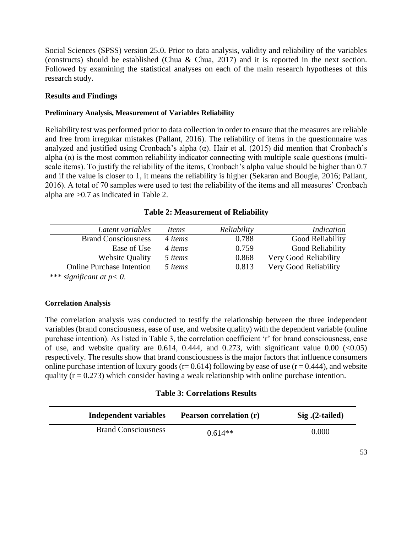Social Sciences (SPSS) version 25.0. Prior to data analysis, validity and reliability of the variables (constructs) should be established (Chua & Chua, 2017) and it is reported in the next section. Followed by examining the statistical analyses on each of the main research hypotheses of this research study.

## **Results and Findings**

#### **Preliminary Analysis, Measurement of Variables Reliability**

Reliability test was performed prior to data collection in order to ensure that the measures are reliable and free from irregukar mistakes (Pallant, 2016). The reliability of items in the questionnaire was analyzed and justified using Cronbach's alpha  $(\alpha)$ . Hair et al. (2015) did mention that Cronbach's alpha  $(\alpha)$  is the most common reliability indicator connecting with multiple scale questions (multiscale items). To justify the reliability of the items, Cronbach's alpha value should be higher than 0.7 and if the value is closer to 1, it means the reliability is higher (Sekaran and Bougie, 2016; Pallant, 2016). A total of 70 samples were used to test the reliability of the items and all measures' Cronbach alpha are >0.7 as indicated in Table 2.

#### **Table 2: Measurement of Reliability**

| Latent variables                 | Items   | Reliability | Indication            |
|----------------------------------|---------|-------------|-----------------------|
| <b>Brand Consciousness</b>       | 4 items | 0.788       | Good Reliability      |
| Ease of Use                      | 4 items | 0.759       | Good Reliability      |
| <b>Website Quality</b>           | 5 items | 0.868       | Very Good Reliability |
| <b>Online Purchase Intention</b> | 5 items | 0.813       | Very Good Reliability |
|                                  |         |             |                       |

\*\*\* *significant at p< 0*.

## **Correlation Analysis**

The correlation analysis was conducted to testify the relationship between the three independent variables (brand consciousness, ease of use, and website quality) with the dependent variable (online purchase intention). As listed in Table 3, the correlation coefficient 'r' for brand consciousness, ease of use, and website quality are 0.614, 0.444, and 0.273, with significant value 0.00  $\langle 0.05 \rangle$ respectively. The results show that brand consciousness is the major factors that influence consumers online purchase intention of luxury goods ( $r= 0.614$ ) following by ease of use ( $r = 0.444$ ), and website quality ( $r = 0.273$ ) which consider having a weak relationship with online purchase intention.

## **Table 3: Correlations Results**

| Independent variables      | <b>Pearson correlation (r)</b> | $Sig. (2-tailed)$ |
|----------------------------|--------------------------------|-------------------|
| <b>Brand Consciousness</b> | $0.614**$                      | 0.000             |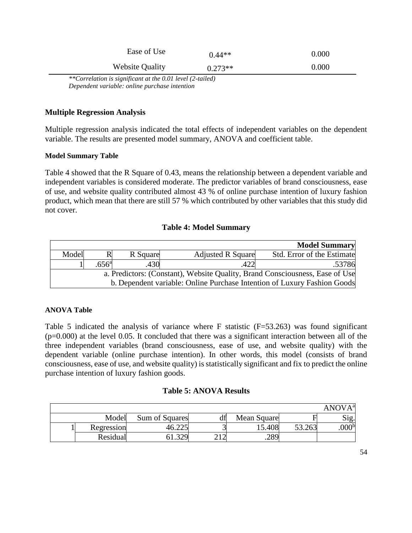| Ease of Use            | $0.44**$  | 0.000 |
|------------------------|-----------|-------|
| <b>Website Quality</b> | $0.273**$ | 0.000 |

*\*\*Correlation is significant at the 0.01 level (2-tailed) Dependent variable: online purchase intention*

# **Multiple Regression Analysis**

Multiple regression analysis indicated the total effects of independent variables on the dependent variable. The results are presented model summary, ANOVA and coefficient table.

## **Model Summary Table**

Table 4 showed that the R Square of 0.43, means the relationship between a dependent variable and independent variables is considered moderate. The predictor variables of brand consciousness, ease of use, and website quality contributed almost 43 % of online purchase intention of luxury fashion product, which mean that there are still 57 % which contributed by other variables that this study did not cover.

## **Table 4: Model Summary**

|       |                                                                          |          |                          | <b>Model Summary</b>                                                         |  |  |  |
|-------|--------------------------------------------------------------------------|----------|--------------------------|------------------------------------------------------------------------------|--|--|--|
| Model |                                                                          | R Square | <b>Adjusted R Square</b> | Std. Error of the Estimate                                                   |  |  |  |
|       | .656 <sup>a</sup>                                                        | .430     |                          | .53786                                                                       |  |  |  |
|       |                                                                          |          |                          | a. Predictors: (Constant), Website Quality, Brand Consciousness, Ease of Use |  |  |  |
|       | b. Dependent variable: Online Purchase Intention of Luxury Fashion Goods |          |                          |                                                                              |  |  |  |

## **ANOVA Table**

Table 5 indicated the analysis of variance where F statistic  $(F=53.263)$  was found significant  $(p=0.000)$  at the level 0.05. It concluded that there was a significant interaction between all of the three independent variables (brand consciousness, ease of use, and website quality) with the dependent variable (online purchase intention). In other words, this model (consists of brand consciousness, ease of use, and website quality) is statistically significant and fix to predict the online purchase intention of luxury fashion goods.

#### **Table 5: ANOVA Results**

|            |                     |              |             |        | <b>ANOVA</b> <sup>a</sup> |
|------------|---------------------|--------------|-------------|--------|---------------------------|
| Model      | Sum of Squares      | df           | Mean Square |        | Sıg.                      |
| Regression | $\bigcap$ $\bigcap$ |              | 15.408      | 53.263 | .000 <sup>b</sup>         |
| Residual   | 220                 | $1^{\wedge}$ | .289        |        |                           |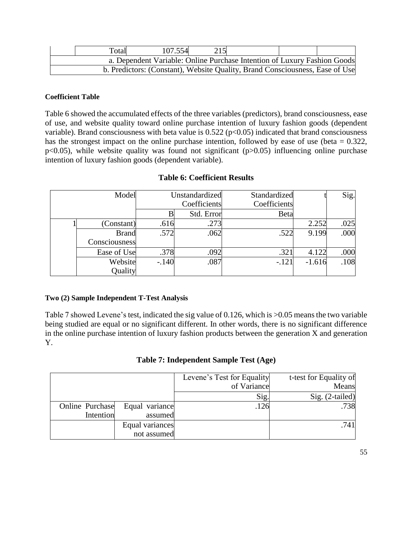| Total | 107.554                                                                      |  |  |
|-------|------------------------------------------------------------------------------|--|--|
|       | a. Dependent Variable: Online Purchase Intention of Luxury Fashion Goods     |  |  |
|       | b. Predictors: (Constant), Website Quality, Brand Consciousness, Ease of Use |  |  |

# **Coefficient Table**

Table 6 showed the accumulated effects of the three variables (predictors), brand consciousness, ease of use, and website quality toward online purchase intention of luxury fashion goods (dependent variable). Brand consciousness with beta value is  $0.522$  ( $p<0.05$ ) indicated that brand consciousness has the strongest impact on the online purchase intention, followed by ease of use (beta  $= 0.322$ ,  $p<0.05$ ), while website quality was found not significant ( $p>0.05$ ) influencing online purchase intention of luxury fashion goods (dependent variable).

| Model         |         | Unstandardized<br>Coefficients | Standardized<br>Coefficients |          | Sig. |
|---------------|---------|--------------------------------|------------------------------|----------|------|
|               |         | Std. Error                     | Beta                         |          |      |
| (Constant)    | .616    | .273                           |                              | 2.252    | .025 |
| <b>Brand</b>  | .572    | .062                           | .522                         | 9.199    | .000 |
| Consciousness |         |                                |                              |          |      |
| Ease of Use   | .378    | .092                           | .321                         | 4.122    | .000 |
| Website       | $-.140$ | .087                           | $-.121$                      | $-1.616$ | .108 |
| Quality       |         |                                |                              |          |      |

# **Table 6: Coefficient Results**

# **Two (2) Sample Independent T-Test Analysis**

Table 7 showed Levene's test, indicated the sig value of 0.126, which is >0.05 means the two variable being studied are equal or no significant different. In other words, there is no significant difference in the online purchase intention of luxury fashion products between the generation X and generation Y.

|                 |                 | Levene's Test for Equality | t-test for Equality of |
|-----------------|-----------------|----------------------------|------------------------|
|                 |                 | of Variance                | Means                  |
|                 |                 | Sig.                       | Sig. (2-tailed)        |
| Online Purchase | Equal variance  | .126                       | .738                   |
| Intention       | assumed         |                            |                        |
|                 | Equal variances |                            | .741                   |
|                 | not assumed     |                            |                        |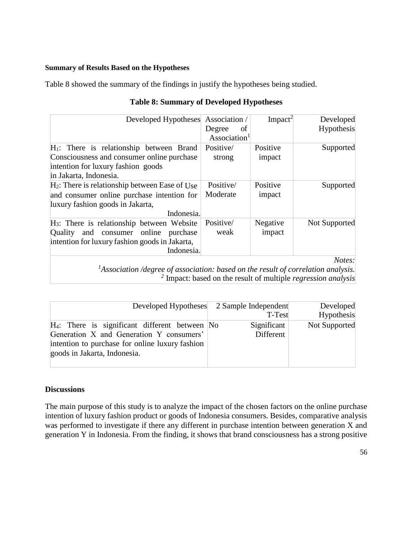#### **Summary of Results Based on the Hypotheses**

Table 8 showed the summary of the findings in justify the hypotheses being studied.

| Developed Hypotheses Association /                                                                                                                        | Degree<br>of             | Impack <sup>2</sup> | Developed<br>Hypothesis |
|-----------------------------------------------------------------------------------------------------------------------------------------------------------|--------------------------|---------------------|-------------------------|
|                                                                                                                                                           | Association <sup>1</sup> |                     |                         |
| $H_1$ : There is relationship between Brand<br>Consciousness and consumer online purchase<br>intention for luxury fashion goods<br>in Jakarta, Indonesia. | Positive/<br>strong      | Positive<br>impact  | Supported               |
| $H_2$ : There is relationship between Ease of Use<br>and consumer online purchase intention for<br>luxury fashion goods in Jakarta,<br>Indonesia.         | Positive/<br>Moderate    | Positive<br>impact  | Supported               |
| $H_3$ : There is relationship between Website<br>Quality and consumer online purchase<br>intention for luxury fashion goods in Jakarta,<br>Indonesia.     | Positive/<br>weak        | Negative<br>impact  | Not Supported           |
| $^{1}$ Association <i>(degree of association: based on the result of correlation analysis)</i>                                                            |                          |                     | Notes:                  |

# **Table 8: Summary of Developed Hypotheses**

*<sup>1</sup>Association /degree of association: based on the result of correlation analysis. 2* Impact: based on the result of multiple *regression analysis*

|                                                                                                                                                                                                | Developed Hypotheses 2 Sample Independent<br>T-Test | Developed<br>Hypothesis |
|------------------------------------------------------------------------------------------------------------------------------------------------------------------------------------------------|-----------------------------------------------------|-------------------------|
| $H_4$ : There is significant different between $\overline{N}$ o<br>Generation X and Generation Y consumers'<br>intention to purchase for online luxury fashion<br>goods in Jakarta, Indonesia. | Significant<br>Different                            | Not Supported           |

# **Discussions**

The main purpose of this study is to analyze the impact of the chosen factors on the online purchase intention of luxury fashion product or goods of Indonesia consumers. Besides, comparative analysis was performed to investigate if there any different in purchase intention between generation X and generation Y in Indonesia. From the finding, it shows that brand consciousness has a strong positive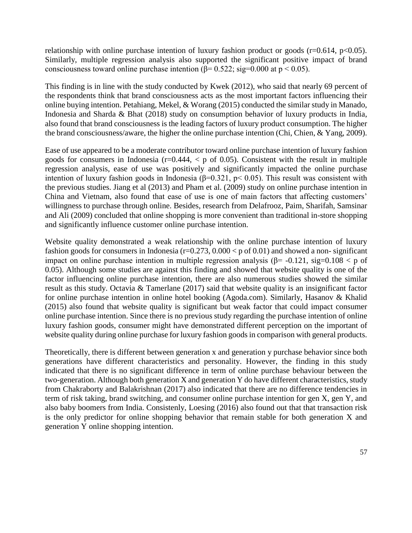relationship with online purchase intention of luxury fashion product or goods ( $r=0.614$ ,  $p<0.05$ ). Similarly, multiple regression analysis also supported the significant positive impact of brand consciousness toward online purchase intention ( $\beta$ = 0.522; sig=0.000 at p < 0.05).

This finding is in line with the study conducted by Kwek (2012), who said that nearly 69 percent of the respondents think that brand consciousness acts as the most important factors influencing their online buying intention. Petahiang, Mekel, & Worang (2015) conducted the similar study in Manado, Indonesia and Sharda & Bhat (2018) study on consumption behavior of luxury products in India, also found that brand consciousness is the leading factors of luxury product consumption. The higher the brand consciousness/aware, the higher the online purchase intention (Chi, Chien, & Yang, 2009).

Ease of use appeared to be a moderate contributor toward online purchase intention of luxury fashion goods for consumers in Indonesia ( $r=0.444$ ,  $\lt p$  of 0.05). Consistent with the result in multiple regression analysis, ease of use was positively and significantly impacted the online purchase intention of luxury fashion goods in Indonesia ( $\beta$ =0.321, p< 0.05). This result was consistent with the previous studies. Jiang et al (2013) and Pham et al. (2009) study on online purchase intention in China and Vietnam, also found that ease of use is one of main factors that affecting customers' willingness to purchase through online. Besides, research from Delafrooz, Paim, Sharifah, Samsinar and Ali (2009) concluded that online shopping is more convenient than traditional in-store shopping and significantly influence customer online purchase intention.

Website quality demonstrated a weak relationship with the online purchase intention of luxury fashion goods for consumers in Indonesia ( $r=0.273$ ,  $0.000 < p$  of  $0.01$ ) and showed a non-significant impact on online purchase intention in multiple regression analysis ( $\beta$ = -0.121, sig=0.108 < p of 0.05). Although some studies are against this finding and showed that website quality is one of the factor influencing online purchase intention, there are also numerous studies showed the similar result as this study. Octavia & Tamerlane (2017) said that website quality is an insignificant factor for online purchase intention in online hotel booking (Agoda.com). Similarly, Hasanov & Khalid (2015) also found that website quality is significant but weak factor that could impact consumer online purchase intention. Since there is no previous study regarding the purchase intention of online luxury fashion goods, consumer might have demonstrated different perception on the important of website quality during online purchase for luxury fashion goods in comparison with general products.

Theoretically, there is different between generation x and generation y purchase behavior since both generations have different characteristics and personality. However, the finding in this study indicated that there is no significant difference in term of online purchase behaviour between the two-generation. Although both generation X and generation Y do have different characteristics, study from Chakraborty and Balakrishnan (2017) also indicated that there are no difference tendencies in term of risk taking, brand switching, and consumer online purchase intention for gen X, gen Y, and also baby boomers from India. Consistenly, Loesing (2016) also found out that that transaction risk is the only predictor for online shopping behavior that remain stable for both generation X and generation Y online shopping intention.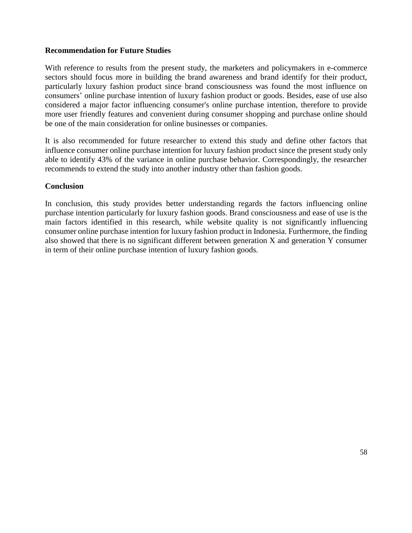## **Recommendation for Future Studies**

With reference to results from the present study, the marketers and policymakers in e-commerce sectors should focus more in building the brand awareness and brand identify for their product, particularly luxury fashion product since brand consciousness was found the most influence on consumers' online purchase intention of luxury fashion product or goods. Besides, ease of use also considered a major factor influencing consumer's online purchase intention, therefore to provide more user friendly features and convenient during consumer shopping and purchase online should be one of the main consideration for online businesses or companies.

It is also recommended for future researcher to extend this study and define other factors that influence consumer online purchase intention for luxury fashion product since the present study only able to identify 43% of the variance in online purchase behavior. Correspondingly, the researcher recommends to extend the study into another industry other than fashion goods.

#### **Conclusion**

In conclusion, this study provides better understanding regards the factors influencing online purchase intention particularly for luxury fashion goods. Brand consciousness and ease of use is the main factors identified in this research, while website quality is not significantly influencing consumer online purchase intention for luxury fashion product in Indonesia. Furthermore, the finding also showed that there is no significant different between generation X and generation Y consumer in term of their online purchase intention of luxury fashion goods.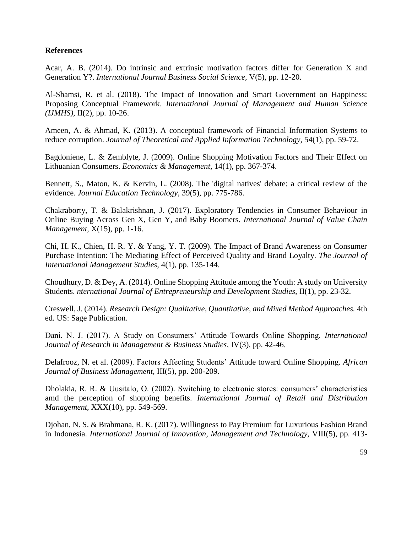## **References**

Acar, A. B. (2014). Do intrinsic and extrinsic motivation factors differ for Generation X and Generation Y?. *International Journal Business Social Science,* V(5), pp. 12-20.

Al-Shamsi, R. et al. (2018). The Impact of Innovation and Smart Government on Happiness: Proposing Conceptual Framework. *International Journal of Management and Human Science (IJMHS),* II(2), pp. 10-26.

Ameen, A. & Ahmad, K. (2013). A conceptual framework of Financial Information Systems to reduce corruption. *Journal of Theoretical and Applied Information Technology*, 54(1), pp. 59-72.

Bagdoniene, L. & Zemblyte, J. (2009). Online Shopping Motivation Factors and Their Effect on Lithuanian Consumers. *Economics & Management,* 14(1), pp. 367-374.

Bennett, S., Maton, K. & Kervin, L. (2008). The 'digital natives' debate: a critical review of the evidence. *Journal Education Technology,* 39(5), pp. 775-786.

Chakraborty, T. & Balakrishnan, J. (2017). Exploratory Tendencies in Consumer Behaviour in Online Buying Across Gen X, Gen Y, and Baby Boomers. *International Journal of Value Chain Management,* X(15), pp. 1-16.

Chi, H. K., Chien, H. R. Y. & Yang, Y. T. (2009). The Impact of Brand Awareness on Consumer Purchase Intention: The Mediating Effect of Perceived Quality and Brand Loyalty. *The Journal of International Management Studies,* 4(1), pp. 135-144.

Choudhury, D. & Dey, A. (2014). Online Shopping Attitude among the Youth: A study on University Students. *nternational Journal of Entrepreneurship and Development Studies*, II(1), pp. 23-32.

Creswell, J. (2014). *Research Design: Qualitative, Quantitative, and Mixed Method Approaches.* 4th ed. US: Sage Publication.

Dani, N. J. (2017). A Study on Consumers' Attitude Towards Online Shopping. *International Journal of Research in Management & Business Studies,* IV(3), pp. 42-46.

Delafrooz, N. et al. (2009). Factors Affecting Students' Attitude toward Online Shopping. *African Journal of Business Management,* III(5), pp. 200-209.

Dholakia, R. R. & Uusitalo, O. (2002). Switching to electronic stores: consumers' characteristics amd the perception of shopping benefits. *International Journal of Retail and Distribution Management,* XXX(10), pp. 549-569.

Djohan, N. S. & Brahmana, R. K. (2017). Willingness to Pay Premium for Luxurious Fashion Brand in Indonesia. *International Journal of Innovation, Management and Technology,* VIII(5), pp. 413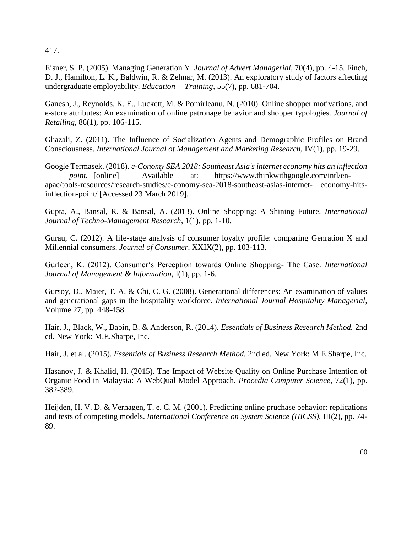417.

Eisner, S. P. (2005). Managing Generation Y. *Journal of Advert Managerial,* 70(4), pp. 4-15. Finch, D. J., Hamilton, L. K., Baldwin, R. & Zehnar, M. (2013). An exploratory study of factors affecting undergraduate employability. *Education + Training,* 55(7), pp. 681-704.

Ganesh, J., Reynolds, K. E., Luckett, M. & Pomirleanu, N. (2010). Online shopper motivations, and e-store attributes: An examination of online patronage behavior and shopper typologies. *Journal of Retailing,* 86(1), pp. 106-115.

Ghazali, Z. (2011). The Influence of Socialization Agents and Demographic Profiles on Brand Consciousness. *International Journal of Management and Marketing Research,* IV(1), pp. 19-29.

Google Termasek. (2018). *e-Conomy SEA 2018: Southeast Asia's internet economy hits an inflection point.* [online] Available at: https://www.thinkwithgoogle.com/intl/enapac/tools-resources/research-studies/e-conomy-sea-2018-southeast-asias-internet- economy-hitsinflection-point/ [Accessed 23 March 2019].

Gupta, A., Bansal, R. & Bansal, A. (2013). Online Shopping: A Shining Future. *International Journal of Techno-Management Research,* 1(1), pp. 1-10.

Gurau, C. (2012). A life-stage analysis of consumer loyalty profile: comparing Genration X and Millennial consumers. *Journal of Consumer,* XXIX(2), pp. 103-113.

Gurleen, K. (2012). Consumer's Perception towards Online Shopping- The Case. *International Journal of Management & Information,* I(1), pp. 1-6.

Gursoy, D., Maier, T. A. & Chi, C. G. (2008). Generational differences: An examination of values and generational gaps in the hospitality workforce. *International Journal Hospitality Managerial,*  Volume 27, pp. 448-458.

Hair, J., Black, W., Babin, B. & Anderson, R. (2014). *Essentials of Business Research Method.* 2nd ed. New York: M.E.Sharpe, Inc.

Hair, J. et al. (2015). *Essentials of Business Research Method.* 2nd ed. New York: M.E.Sharpe, Inc.

Hasanov, J. & Khalid, H. (2015). The Impact of Website Quality on Online Purchase Intention of Organic Food in Malaysia: A WebQual Model Approach. *Procedia Computer Science,* 72(1), pp. 382-389.

Heijden, H. V. D. & Verhagen, T. e. C. M. (2001). Predicting online pruchase behavior: replications and tests of competing models. *International Conference on System Science (HICSS),* III(2), pp. 74- 89.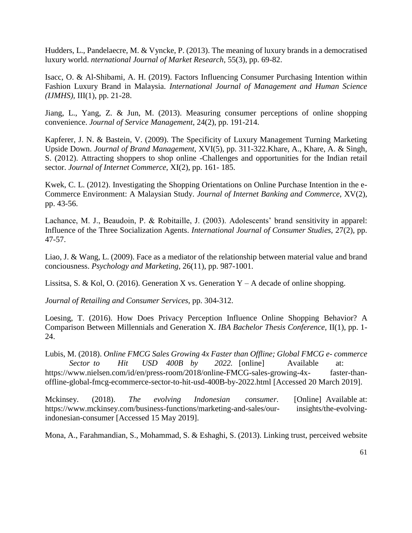Hudders, L., Pandelaecre, M. & Vyncke, P. (2013). The meaning of luxury brands in a democratised luxury world. *nternational Journal of Market Research,* 55(3), pp. 69-82.

Isacc, O. & Al-Shibami, A. H. (2019). Factors Influencing Consumer Purchasing Intention within Fashion Luxury Brand in Malaysia. *International Journal of Management and Human Science (IJMHS),* III(1), pp. 21-28.

Jiang, L., Yang, Z. & Jun, M. (2013). Measuring consumer perceptions of online shopping convenience. *Journal of Service Management,* 24(2), pp. 191-214.

Kapferer, J. N. & Bastein, V. (2009). The Specificity of Luxury Management Turning Marketing Upside Down. *Journal of Brand Management,* XVI(5), pp. 311-322.Khare, A., Khare, A. & Singh, S. (2012). Attracting shoppers to shop online -Challenges and opportunities for the Indian retail sector. *Journal of Internet Commerce,* XI(2), pp. 161- 185.

Kwek, C. L. (2012). Investigating the Shopping Orientations on Online Purchase Intention in the e-Commerce Environment: A Malaysian Study. *Journal of Internet Banking and Commerce,* XV(2), pp. 43-56.

Lachance, M. J., Beaudoin, P. & Robitaille, J. (2003). Adolescents' brand sensitivity in apparel: Influence of the Three Socialization Agents. *International Journal of Consumer Studies,* 27(2), pp. 47-57.

Liao, J. & Wang, L. (2009). Face as a mediator of the relationship between material value and brand conciousness. *Psychology and Marketing,* 26(11), pp. 987-1001.

Lissitsa, S. & Kol, O. (2016). Generation X vs. Generation  $Y - A$  decade of online shopping.

*Journal of Retailing and Consumer Services,* pp. 304-312.

Loesing, T. (2016). How Does Privacy Perception Influence Online Shopping Behavior? A Comparison Between Millennials and Generation X. *IBA Bachelor Thesis Conference,* II(1), pp. 1- 24.

Lubis, M. (2018). *Online FMCG Sales Growing 4x Faster than Offline; Global FMCG e- commerce Sector to Hit USD 400B by 2022.* [online] Available at:

https://www.nielsen.com/id/en/press-room/2018/online-FMCG-sales-growing-4x- faster-thanoffline-global-fmcg-ecommerce-sector-to-hit-usd-400B-by-2022.html [Accessed 20 March 2019].

Mckinsey. (2018). *The evolving Indonesian consumer.* [Online] Available at: https://www.mckinsey.com/business-functions/marketing-and-sales/our- insights/the-evolvingindonesian-consumer [Accessed 15 May 2019].

Mona, A., Farahmandian, S., Mohammad, S. & Eshaghi, S. (2013). Linking trust, perceived website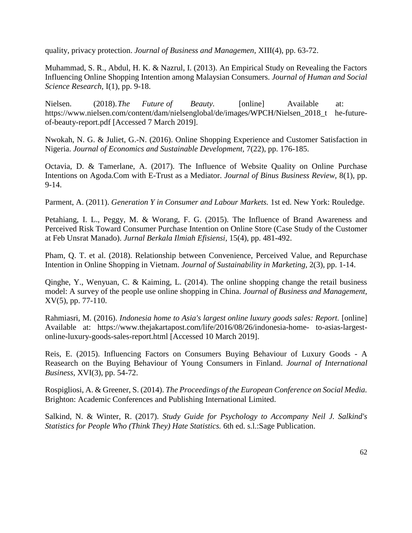quality, privacy protection. *Journal of Business and Managemen,* XIII(4), pp. 63-72.

Muhammad, S. R., Abdul, H. K. & Nazrul, I. (2013). An Empirical Study on Revealing the Factors Influencing Online Shopping Intention among Malaysian Consumers. *Journal of Human and Social Science Research,* I(1), pp. 9-18.

Nielsen. (2018). The Future of Beauty. [online] Available at: https://www.nielsen.com/content/dam/nielsenglobal/de/images/WPCH/Nielsen\_2018\_t he-futureof-beauty-report.pdf [Accessed 7 March 2019].

Nwokah, N. G. & Juliet, G.-N. (2016). Online Shopping Experience and Customer Satisfaction in Nigeria. *Journal of Economics and Sustainable Development,* 7(22), pp. 176-185.

Octavia, D. & Tamerlane, A. (2017). The Influence of Website Quality on Online Purchase Intentions on Agoda.Com with E-Trust as a Mediator. *Journal of Binus Business Review,* 8(1), pp. 9-14.

Parment, A. (2011). *Generation Y in Consumer and Labour Markets.* 1st ed. New York: Rouledge.

Petahiang, I. L., Peggy, M. & Worang, F. G. (2015). The Influence of Brand Awareness and Perceived Risk Toward Consumer Purchase Intention on Online Store (Case Study of the Customer at Feb Unsrat Manado). *Jurnal Berkala Ilmiah Efisiensi,* 15(4), pp. 481-492.

Pham, Q. T. et al. (2018). Relationship between Convenience, Perceived Value, and Repurchase Intention in Online Shopping in Vietnam. *Journal of Sustainability in Marketing,* 2(3), pp. 1-14.

Qinghe, Y., Wenyuan, C. & Kaiming, L. (2014). The online shopping change the retail business model: A survey of the people use online shopping in China. *Journal of Business and Management,*  XV(5), pp. 77-110.

Rahmiasri, M. (2016). *Indonesia home to Asia's largest online luxury goods sales: Report.* [online] Available at: https://www.thejakartapost.com/life/2016/08/26/indonesia-home- to-asias-largestonline-luxury-goods-sales-report.html [Accessed 10 March 2019].

Reis, E. (2015). Influencing Factors on Consumers Buying Behaviour of Luxury Goods - A Reasearch on the Buying Behaviour of Young Consumers in Finland. *Journal of International Business,* XVI(3), pp. 54-72.

Rospigliosi, A. & Greener, S. (2014). *The Proceedings of the European Conference on Social Media.*  Brighton: Academic Conferences and Publishing International Limited.

Salkind, N. & Winter, R. (2017). *Study Guide for Psychology to Accompany Neil J. Salkind's Statistics for People Who (Think They) Hate Statistics.* 6th ed. s.l.:Sage Publication.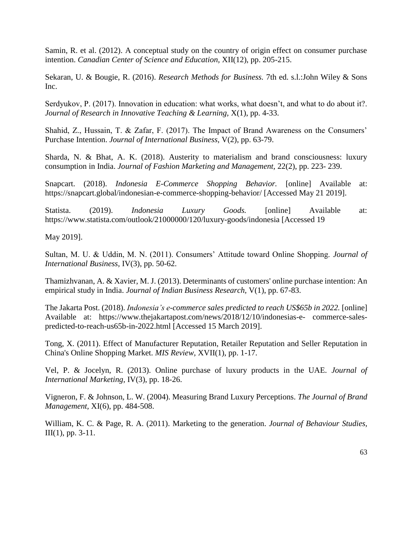Samin, R. et al. (2012). A conceptual study on the country of origin effect on consumer purchase intention. *Canadian Center of Science and Education,* XII(12), pp. 205-215.

Sekaran, U. & Bougie, R. (2016). *Research Methods for Business.* 7th ed. s.l.:John Wiley & Sons Inc.

Serdyukov, P. (2017). Innovation in education: what works, what doesn't, and what to do about it?. *Journal of Research in Innovative Teaching & Learning,* X(1), pp. 4-33.

Shahid, Z., Hussain, T. & Zafar, F. (2017). The Impact of Brand Awareness on the Consumers' Purchase Intention. *Journal of International Business,* V(2), pp. 63-79.

Sharda, N. & Bhat, A. K. (2018). Austerity to materialism and brand consciousness: luxury consumption in India. *Journal of Fashion Marketing and Management,* 22(2), pp. 223- 239.

Snapcart. (2018). *Indonesia E-Commerce Shopping Behavior.* [online] Available at: https://snapcart.global/indonesian-e-commerce-shopping-behavior/ [Accessed May 21 2019].

Statista. (2019). *Indonesia Luxury Goods.* [online] Available at: https://www.statista.com/outlook/21000000/120/luxury-goods/indonesia [Accessed 19

May 2019].

Sultan, M. U. & Uddin, M. N. (2011). Consumers' Attitude toward Online Shopping. *Journal of International Business,* IV(3), pp. 50-62.

Thamizhvanan, A. & Xavier, M. J. (2013). Determinants of customers' online purchase intention: An empirical study in India. *Journal of Indian Business Research,* V(1), pp. 67-83.

The Jakarta Post. (2018). *Indonesia's e-commerce sales predicted to reach US\$65b in 2022.* [online] Available at: https://www.thejakartapost.com/news/2018/12/10/indonesias-e- commerce-salespredicted-to-reach-us65b-in-2022.html [Accessed 15 March 2019].

Tong, X. (2011). Effect of Manufacturer Reputation, Retailer Reputation and Seller Reputation in China's Online Shopping Market. *MIS Review,* XVII(1), pp. 1-17.

Vel, P. & Jocelyn, R. (2013). Online purchase of luxury products in the UAE. *Journal of International Marketing,* IV(3), pp. 18-26.

Vigneron, F. & Johnson, L. W. (2004). Measuring Brand Luxury Perceptions. *The Journal of Brand Management,* XI(6), pp. 484-508.

William, K. C. & Page, R. A. (2011). Marketing to the generation. *Journal of Behaviour Studies,*  III(1), pp. 3-11.